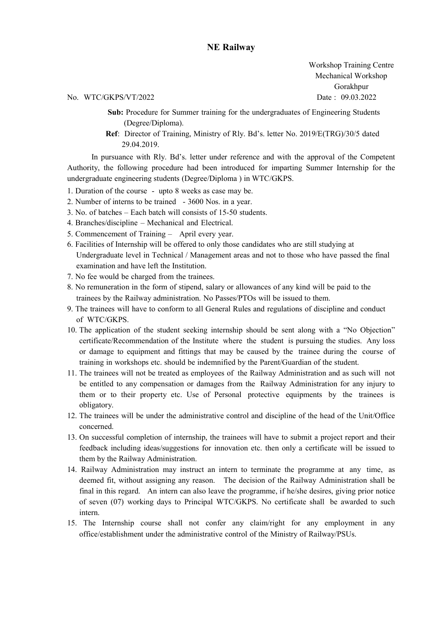## NE Railway

Workshop Training Centre Mechanical Workshop Gorakhpur

No. WTC/GKPS/VT/2022 Date : 09.03.2022

Sub: Procedure for Summer training for the undergraduates of Engineering Students (Degree/Diploma).

Ref: Director of Training, Ministry of Rly. Bd's. letter No. 2019/E(TRG)/30/5 dated 29.04.2019.

In pursuance with Rly. Bd's. letter under reference and with the approval of the Competent Authority, the following procedure had been introduced for imparting Summer Internship for the undergraduate engineering students (Degree/Diploma ) in WTC/GKPS.

- 1. Duration of the course upto 8 weeks as case may be.
- 2. Number of interns to be trained 3600 Nos. in a year.
- 3. No. of batches Each batch will consists of 15-50 students.
- 4. Branches/discipline Mechanical and Electrical.
- 5. Commencement of Training April every year.
- 6. Facilities of Internship will be offered to only those candidates who are still studying at Undergraduate level in Technical / Management areas and not to those who have passed the final examination and have left the Institution.
- 7. No fee would be charged from the trainees.
- 8. No remuneration in the form of stipend, salary or allowances of any kind will be paid to the trainees by the Railway administration. No Passes/PTOs will be issued to them.
- 9. The trainees will have to conform to all General Rules and regulations of discipline and conduct of WTC/GKPS.
- 10. The application of the student seeking internship should be sent along with a "No Objection" certificate/Recommendation of the Institute where the student is pursuing the studies. Any loss or damage to equipment and fittings that may be caused by the trainee during the course of training in workshops etc. should be indemnified by the Parent/Guardian of the student.
- 11. The trainees will not be treated as employees of the Railway Administration and as such will not be entitled to any compensation or damages from the Railway Administration for any injury to them or to their property etc. Use of Personal protective equipments by the trainees is obligatory.
- 12. The trainees will be under the administrative control and discipline of the head of the Unit/Office concerned.
- 13. On successful completion of internship, the trainees will have to submit a project report and their feedback including ideas/suggestions for innovation etc. then only a certificate will be issued to them by the Railway Administration.
- 14. Railway Administration may instruct an intern to terminate the programme at any time, as deemed fit, without assigning any reason. The decision of the Railway Administration shall be final in this regard. An intern can also leave the programme, if he/she desires, giving prior notice of seven (07) working days to Principal WTC/GKPS. No certificate shall be awarded to such intern.
- 15. The Internship course shall not confer any claim/right for any employment in any office/establishment under the administrative control of the Ministry of Railway/PSUs.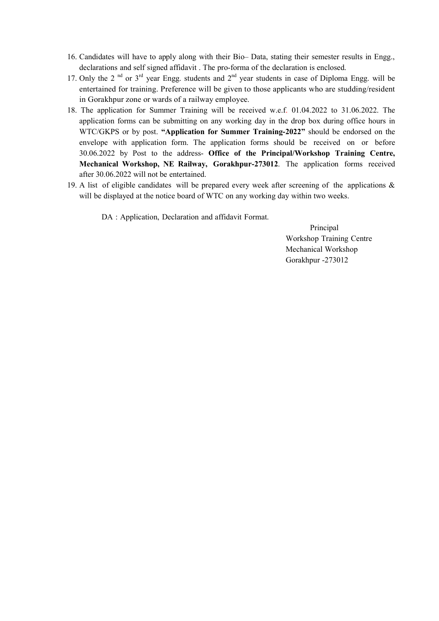- 16. Candidates will have to apply along with their Bio– Data, stating their semester results in Engg., declarations and self signed affidavit . The pro-forma of the declaration is enclosed.
- 17. Only the 2<sup>nd</sup> or 3<sup>rd</sup> year Engg. students and 2<sup>nd</sup> year students in case of Diploma Engg. will be entertained for training. Preference will be given to those applicants who are studding/resident in Gorakhpur zone or wards of a railway employee.
- 18. The application for Summer Training will be received w.e.f. 01.04.2022 to 31.06.2022. The application forms can be submitting on any working day in the drop box during office hours in WTC/GKPS or by post. "Application for Summer Training-2022" should be endorsed on the envelope with application form. The application forms should be received on or before 30.06.2022 by Post to the address- Office of the Principal/Workshop Training Centre, Mechanical Workshop, NE Railway, Gorakhpur-273012. The application forms received after 30.06.2022 will not be entertained.
- 19. A list of eligible candidates will be prepared every week after screening of the applications & will be displayed at the notice board of WTC on any working day within two weeks.

DA : Application, Declaration and affidavit Format.

Principal Workshop Training Centre Mechanical Workshop Gorakhpur -273012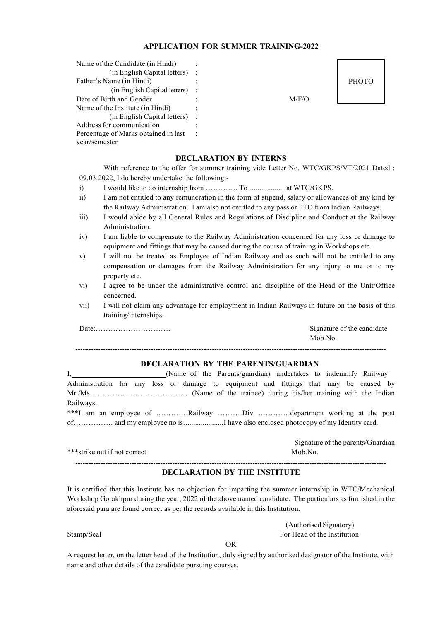#### APPLICATION FOR SUMMER TRAINING-2022

| Name of the Candidate (in Hindi)     |       |              |
|--------------------------------------|-------|--------------|
| $(in English Capital letters)$ :     |       |              |
| Father's Name (in Hindi)             |       | <b>PHOTO</b> |
| (in English Capital letters) :       |       |              |
| Date of Birth and Gender             | M/F/O |              |
| Name of the Institute (in Hindi)     |       |              |
| (in English Capital letters) :       |       |              |
| Address for communication            |       |              |
| Percentage of Marks obtained in last |       |              |
| year/semester                        |       |              |

#### DECLARATION BY INTERNS

With reference to the offer for summer training vide Letter No. WTC/GKPS/VT/2021 Dated : 09.03.2022, I do hereby undertake the following:-

- i) I would like to do internship from …………. To .................... at WTC/GKPS.
- ii) I am not entitled to any remuneration in the form of stipend, salary or allowances of any kind by the Railway Administration. I am also not entitled to any pass or PTO from Indian Railways.
- iii) I would abide by all General Rules and Regulations of Discipline and Conduct at the Railway Administration.
- iv) I am liable to compensate to the Railway Administration concerned for any loss or damage to equipment and fittings that may be caused during the course of training in Workshops etc.
- v) I will not be treated as Employee of Indian Railway and as such will not be entitled to any compensation or damages from the Railway Administration for any injury to me or to my property etc.
- vi) I agree to be under the administrative control and discipline of the Head of the Unit/Office concerned.
- vii) I will not claim any advantage for employment in Indian Railways in future on the basis of this training/internships.

Date:………………………… Signature of the candidate Mob.No. 

### DECLARATION BY THE PARENTS/GUARDIAN

| (Name of the Parents/guardian) undertakes to indemnify Railway                        |
|---------------------------------------------------------------------------------------|
| Administration for any loss or damage to equipment and fittings that may be caused by |
|                                                                                       |
| Railways.                                                                             |
| ***I am an employee of Railway Div department working at the post                     |
| of and my employee no isI have also enclosed photocopy of my Identity card.           |

|                              | orginature of the parents/Guardian |
|------------------------------|------------------------------------|
| ***strike out if not correct | Mob.No.                            |
|                              |                                    |

#### DECLARATION BY THE INSTITUTE

It is certified that this Institute has no objection for imparting the summer internship in WTC/Mechanical Workshop Gorakhpur during the year, 2022 of the above named candidate. The particulars as furnished in the aforesaid para are found correct as per the records available in this Institution.

(Authorised Signatory) Stamp/Seal For Head of the Institution

Signature of the parents/Guardian

OR

A request letter, on the letter head of the Institution, duly signed by authorised designator of the Institute, with name and other details of the candidate pursuing courses.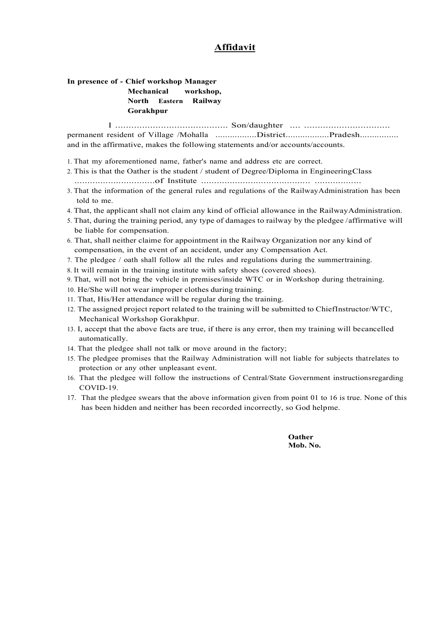## Affidavit

#### In presence of - Chief workshop Manager Mechanical workshop, North Eastern Railway Gorakhpur

I .......................................... Son/daughter .... ................................ permanent resident of Village /Mohalla .................District.................Pradesh............... and in the affirmative, makes the following statements and/or accounts/accounts.

- 1. That my aforementioned name, father's name and address etc are correct.
- 2. This is that the Oather is the student / student of Degree/Diploma in Engineering Class ...............................of Institute .......................................... ..................
- 3. That the information of the general rules and regulations of the Railway Administration has been told to me.
- 4. That, the applicant shall not claim any kind of official allowance in the Railway Administration.
- 5. That, during the training period, any type of damages to railway by the pledgee / affirmative will be liable for compensation.
- 6. That, shall neither claime for appointment in the Railway Organization nor any kind of compensation, in the event of an accident, under any Compensation Act.
- 7. The pledgee  $\ell$  oath shall follow all the rules and regulations during the summertraining.
- 8. It will remain in the training institute with safety shoes (covered shoes).
- 9. That, will not bring the vehicle in premises/inside WTC or in Workshop during the training.
- 10. He/She will not wear improper clothes during training.
- 11. That, His/Her attendance will be regular during the training.
- 12. The assigned project report related to the training will be submitted to Chief Instructor/WTC, Mechanical Workshop Gorakhpur.
- 13. I, accept that the above facts are true, if there is any error, then my training will be cancelled automatically.
- 14. That the pledgee shall not talk or move around in the factory;
- 15. The pledgee promises that the Railway Administration will not liable for subjects that relates to protection or any other unpleasant event.
- 16. That the pledgee will follow the instructions of Central/State Government instructions regarding COVID-19.
- 17. That the pledgee swears that the above information given from point 01 to 16 is true. None of this has been hidden and neither has been recorded incorrectly, so God helpme.

**Oather** Mob. No.